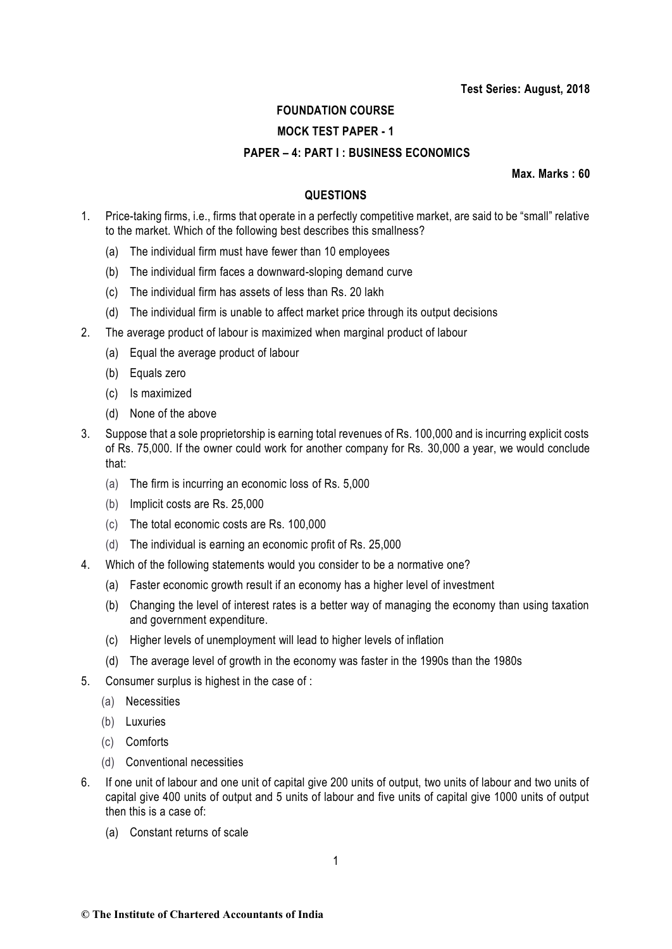# **FOUNDATION COURSE**

# **MOCK TEST PAPER - 1**

## **PAPER – 4: PART I : BUSINESS ECONOMICS**

**Max. Marks : 60**

# **QUESTIONS**

- 1. Price-taking firms, i.e., firms that operate in a perfectly competitive market, are said to be "small" relative to the market. Which of the following best describes this smallness?
	- (a) The individual firm must have fewer than 10 employees
	- (b) The individual firm faces a downward-sloping demand curve
	- (c) The individual firm has assets of less than Rs. 20 lakh
	- (d) The individual firm is unable to affect market price through its output decisions
- 2. The average product of labour is maximized when marginal product of labour
	- (a) Equal the average product of labour
	- (b) Equals zero
	- (c) Is maximized
	- (d) None of the above
- 3. Suppose that a sole proprietorship is earning total revenues of Rs. 100,000 and is incurring explicit costs of Rs. 75,000. If the owner could work for another company for Rs. 30,000 a year, we would conclude that:
	- (a) The firm is incurring an economic loss of Rs. 5,000
	- (b) Implicit costs are Rs. 25,000
	- (c) The total economic costs are Rs. 100,000
	- (d) The individual is earning an economic profit of Rs. 25,000
- 4. Which of the following statements would you consider to be a normative one?
	- (a) Faster economic growth result if an economy has a higher level of investment
	- (b) Changing the level of interest rates is a better way of managing the economy than using taxation and government expenditure.
	- (c) Higher levels of unemployment will lead to higher levels of inflation
	- (d) The average level of growth in the economy was faster in the 1990s than the 1980s
- 5. Consumer surplus is highest in the case of :
	- (a) Necessities
	- (b) Luxuries
	- (c) Comforts
	- (d) Conventional necessities
- 6. If one unit of labour and one unit of capital give 200 units of output, two units of labour and two units of capital give 400 units of output and 5 units of labour and five units of capital give 1000 units of output then this is a case of:
	- (a) Constant returns of scale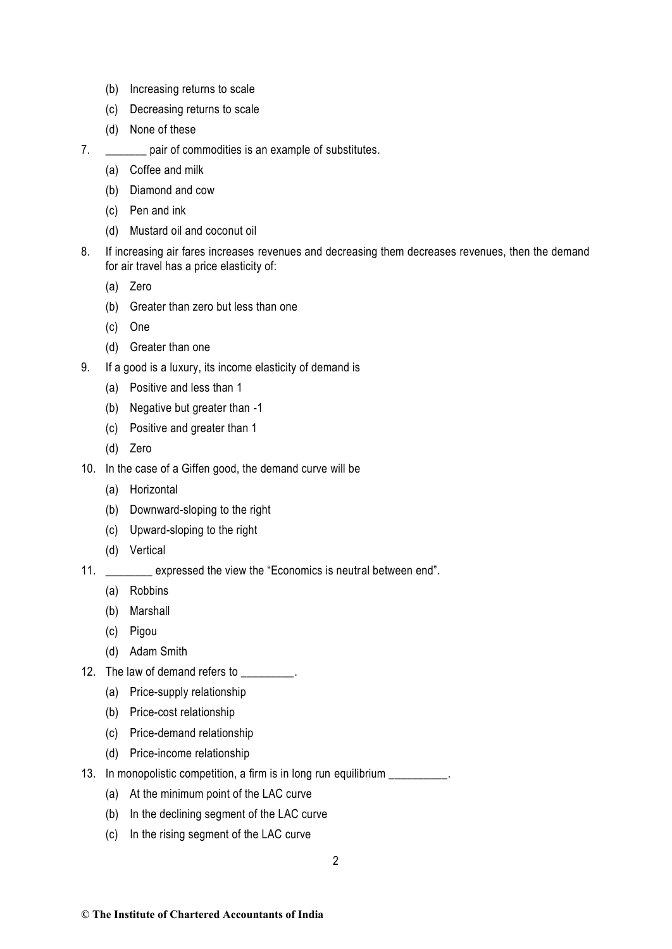- (b) Increasing returns to scale
- (c) Decreasing returns to scale
- (d) None of these
- 7. **pair of commodities is an example of substitutes.** 
	- (a) Coffee and milk
	- (b) Diamond and cow
	- (c) Pen and ink
	- (d) Mustard oil and coconut oil
- 8. If increasing air fares increases revenues and decreasing them decreases revenues, then the demand for air travel has a price elasticity of:
	- (a) Zero
	- (b) Greater than zero but less than one
	- (c) One
	- (d) Greater than one
- 9. If a good is a luxury, its income elasticity of demand is
	- (a) Positive and less than 1
	- (b) Negative but greater than -1
	- (c) Positive and greater than 1
	- (d) Zero
- 10. In the case of a Giffen good, the demand curve will be
	- (a) Horizontal
	- (b) Downward-sloping to the right
	- (c) Upward-sloping to the right
	- (d) Vertical
- 11. \_\_\_\_\_\_\_\_ expressed the view the "Economics is neutral between end".
	- (a) Robbins
	- (b) Marshall
	- (c) Pigou
	- (d) Adam Smith
- 12. The law of demand refers to \_\_\_\_\_\_\_\_.
	- (a) Price-supply relationship
	- (b) Price-cost relationship
	- (c) Price-demand relationship
	- (d) Price-income relationship
- 13. In monopolistic competition, a firm is in long run equilibrium \_\_\_\_\_\_\_\_\_.
	- (a) At the minimum point of the LAC curve
	- (b) In the declining segment of the LAC curve
	- (c) In the rising segment of the LAC curve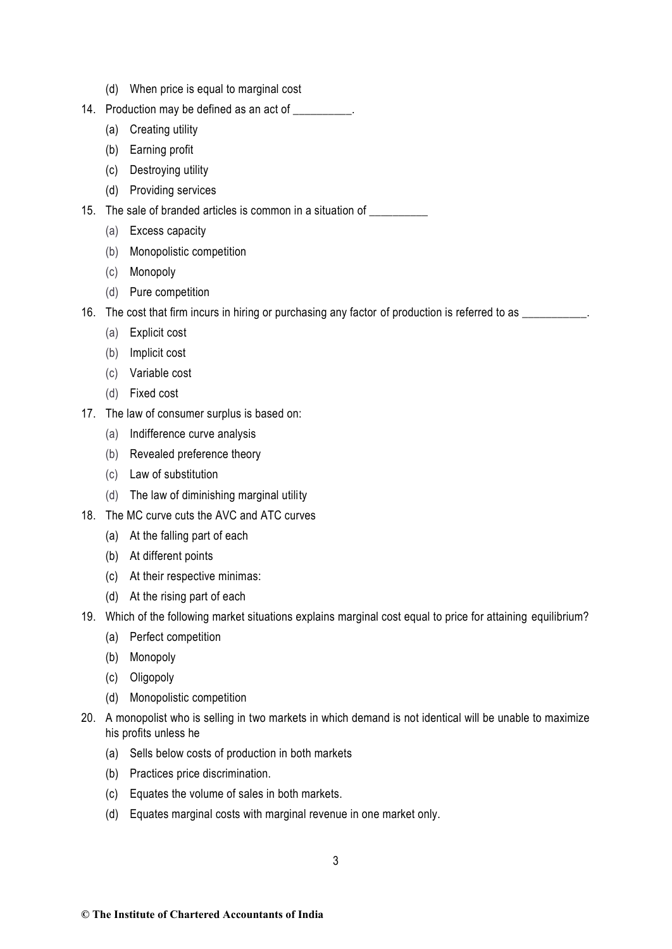- (d) When price is equal to marginal cost
- 14. Production may be defined as an act of  $\qquad \qquad$ .
	- (a) Creating utility
	- (b) Earning profit
	- (c) Destroying utility
	- (d) Providing services
- 15. The sale of branded articles is common in a situation of \_\_\_\_\_\_\_\_\_\_
	- (a) Excess capacity
	- (b) Monopolistic competition
	- (c) Monopoly
	- (d) Pure competition
- 16. The cost that firm incurs in hiring or purchasing any factor of production is referred to as \_\_\_\_\_\_\_\_\_\_\_.
	- (a) Explicit cost
	- (b) Implicit cost
	- (c) Variable cost
	- (d) Fixed cost
- 17. The law of consumer surplus is based on:
	- (a) Indifference curve analysis
	- (b) Revealed preference theory
	- (c) Law of substitution
	- (d) The law of diminishing marginal utility
- 18. The MC curve cuts the AVC and ATC curves
	- (a) At the falling part of each
	- (b) At different points
	- (c) At their respective minimas:
	- (d) At the rising part of each
- 19. Which of the following market situations explains marginal cost equal to price for attaining equilibrium?
	- (a) Perfect competition
	- (b) Monopoly
	- (c) Oligopoly
	- (d) Monopolistic competition
- 20. A monopolist who is selling in two markets in which demand is not identical will be unable to maximize his profits unless he
	- (a) Sells below costs of production in both markets
	- (b) Practices price discrimination.
	- (c) Equates the volume of sales in both markets.
	- (d) Equates marginal costs with marginal revenue in one market only.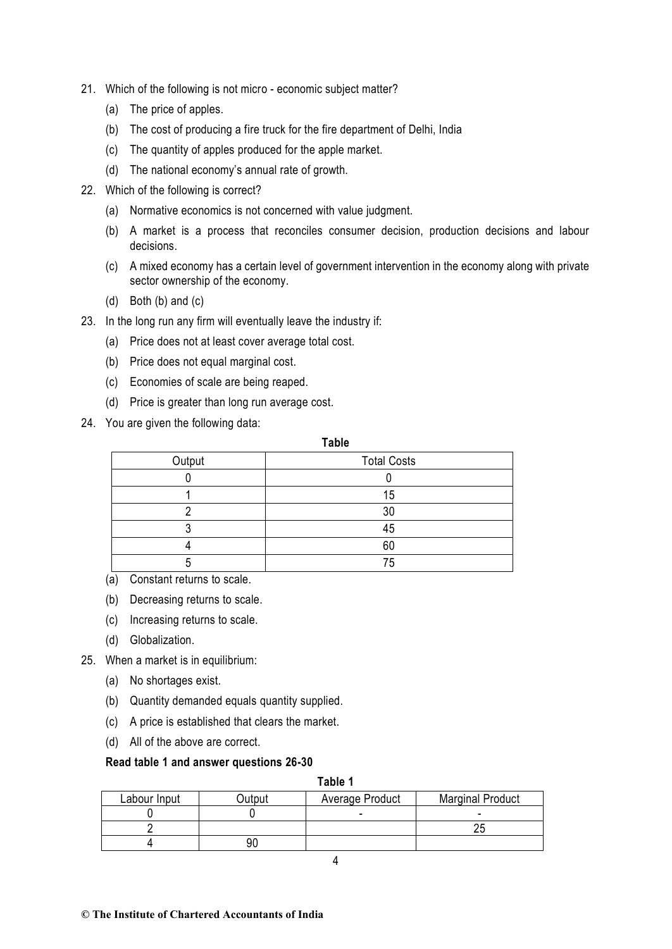- 21. Which of the following is not micro economic subject matter?
	- (a) The price of apples.
	- (b) The cost of producing a fire truck for the fire department of Delhi, India
	- (c) The quantity of apples produced for the apple market.
	- (d) The national economy's annual rate of growth.
- 22. Which of the following is correct?
	- (a) Normative economics is not concerned with value judgment.
	- (b) A market is a process that reconciles consumer decision, production decisions and labour decisions.
	- (c) A mixed economy has a certain level of government intervention in the economy along with private sector ownership of the economy.
	- (d) Both (b) and (c)
- 23. In the long run any firm will eventually leave the industry if:
	- (a) Price does not at least cover average total cost.
	- (b) Price does not equal marginal cost.
	- (c) Economies of scale are being reaped.
	- (d) Price is greater than long run average cost.
- 24. You are given the following data:

## **Table**

| Output | <b>Total Costs</b> |  |  |
|--------|--------------------|--|--|
|        |                    |  |  |
|        | 15                 |  |  |
|        |                    |  |  |
|        |                    |  |  |
|        |                    |  |  |
|        |                    |  |  |

- (a) Constant returns to scale.
- (b) Decreasing returns to scale.
- (c) Increasing returns to scale.
- (d) Globalization.
- 25. When a market is in equilibrium:
	- (a) No shortages exist.
	- (b) Quantity demanded equals quantity supplied.
	- (c) A price is established that clears the market.
	- (d) All of the above are correct.

## **Read table 1 and answer questions 26-30**

**Table 1**

| Labour Input | Average Product<br>utout |  | <b>Marginal Product</b> |  |
|--------------|--------------------------|--|-------------------------|--|
|              |                          |  |                         |  |
|              |                          |  |                         |  |
|              |                          |  |                         |  |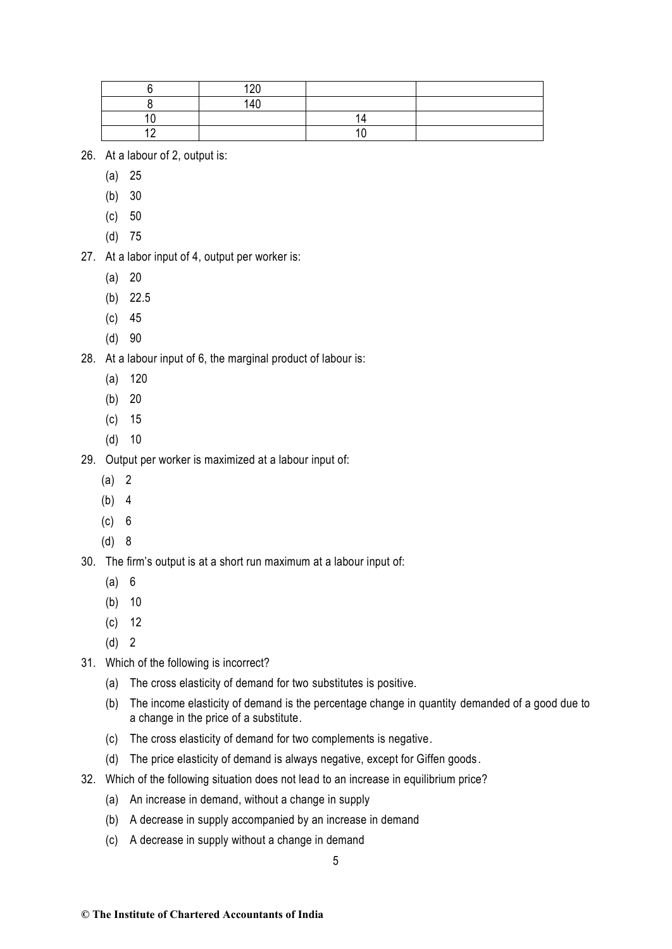| $\sim$ |  |
|--------|--|
| 4٢     |  |
|        |  |
|        |  |

- 26. At a labour of 2, output is:
	- (a) 25
	- (b) 30
	- (c) 50
	- (d) 75
- 27. At a labor input of 4, output per worker is:
	- (a) 20
	- (b) 22.5
	- (c) 45
	- (d) 90

28. At a labour input of 6, the marginal product of labour is:

- (a) 120
- (b) 20
- (c) 15
- (d) 10
- 29. Output per worker is maximized at a labour input of:
	- (a) 2
	- (b) 4
	- (c) 6
	- (d) 8
- 30. The firm's output is at a short run maximum at a labour input of:
	- (a) 6
	- (b) 10
	- (c) 12
	- (d) 2
- 31. Which of the following is incorrect?
	- (a) The cross elasticity of demand for two substitutes is positive.
	- (b) The income elasticity of demand is the percentage change in quantity demanded of a good due to a change in the price of a substitute.
	- (c) The cross elasticity of demand for two complements is negative.
	- (d) The price elasticity of demand is always negative, except for Giffen goods.
- 32. Which of the following situation does not lead to an increase in equilibrium price?
	- (a) An increase in demand, without a change in supply
	- (b) A decrease in supply accompanied by an increase in demand
	- (c) A decrease in supply without a change in demand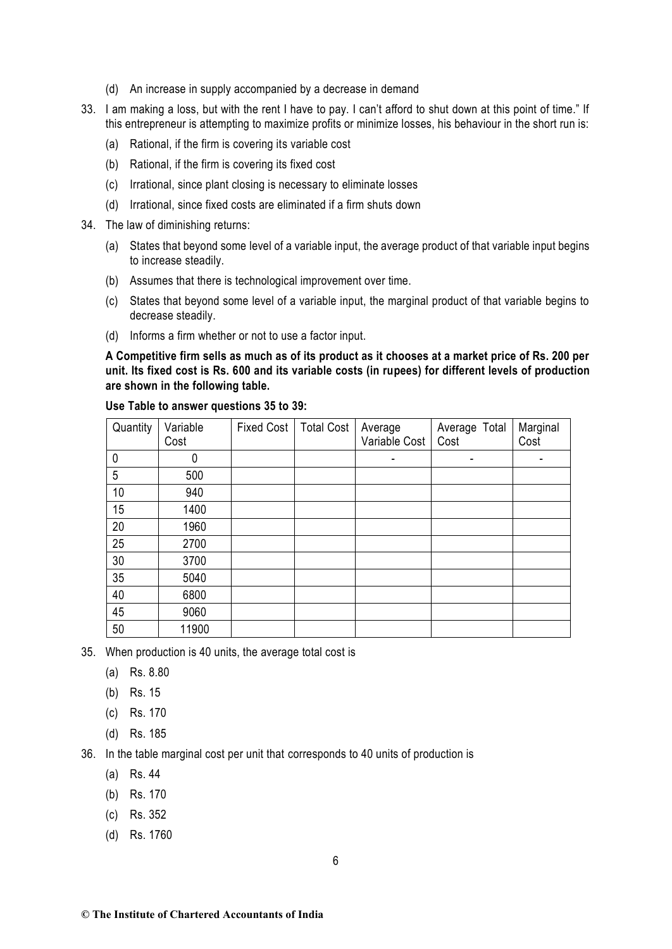- (d) An increase in supply accompanied by a decrease in demand
- 33. I am making a loss, but with the rent I have to pay. I can't afford to shut down at this point of time." If this entrepreneur is attempting to maximize profits or minimize losses, his behaviour in the short run is:
	- (a) Rational, if the firm is covering its variable cost
	- (b) Rational, if the firm is covering its fixed cost
	- (c) Irrational, since plant closing is necessary to eliminate losses
	- (d) Irrational, since fixed costs are eliminated if a firm shuts down
- 34. The law of diminishing returns:
	- (a) States that beyond some level of a variable input, the average product of that variable input begins to increase steadily.
	- (b) Assumes that there is technological improvement over time.
	- (c) States that beyond some level of a variable input, the marginal product of that variable begins to decrease steadily.
	- (d) Informs a firm whether or not to use a factor input.

**A Competitive firm sells as much as of its product as it chooses at a market price of Rs. 200 per unit. Its fixed cost is Rs. 600 and its variable costs (in rupees) for different levels of production are shown in the following table.**

| Quantity | Variable<br>Cost | <b>Fixed Cost</b> | <b>Total Cost</b> | Average<br>Variable Cost | Average Total<br>Cost | Marginal<br>Cost |
|----------|------------------|-------------------|-------------------|--------------------------|-----------------------|------------------|
| 0        | 0                |                   |                   | ٠                        | ٠                     | ۰                |
| 5        | 500              |                   |                   |                          |                       |                  |
| 10       | 940              |                   |                   |                          |                       |                  |
| 15       | 1400             |                   |                   |                          |                       |                  |
| 20       | 1960             |                   |                   |                          |                       |                  |
| 25       | 2700             |                   |                   |                          |                       |                  |
| 30       | 3700             |                   |                   |                          |                       |                  |
| 35       | 5040             |                   |                   |                          |                       |                  |
| 40       | 6800             |                   |                   |                          |                       |                  |
| 45       | 9060             |                   |                   |                          |                       |                  |
| 50       | 11900            |                   |                   |                          |                       |                  |

### **Use Table to answer questions 35 to 39:**

35. When production is 40 units, the average total cost is

- (a) Rs. 8.80
- (b) Rs. 15
- (c) Rs. 170
- (d) Rs. 185

36. In the table marginal cost per unit that corresponds to 40 units of production is

- (a) Rs. 44
- (b) Rs. 170
- (c) Rs. 352
- (d) Rs. 1760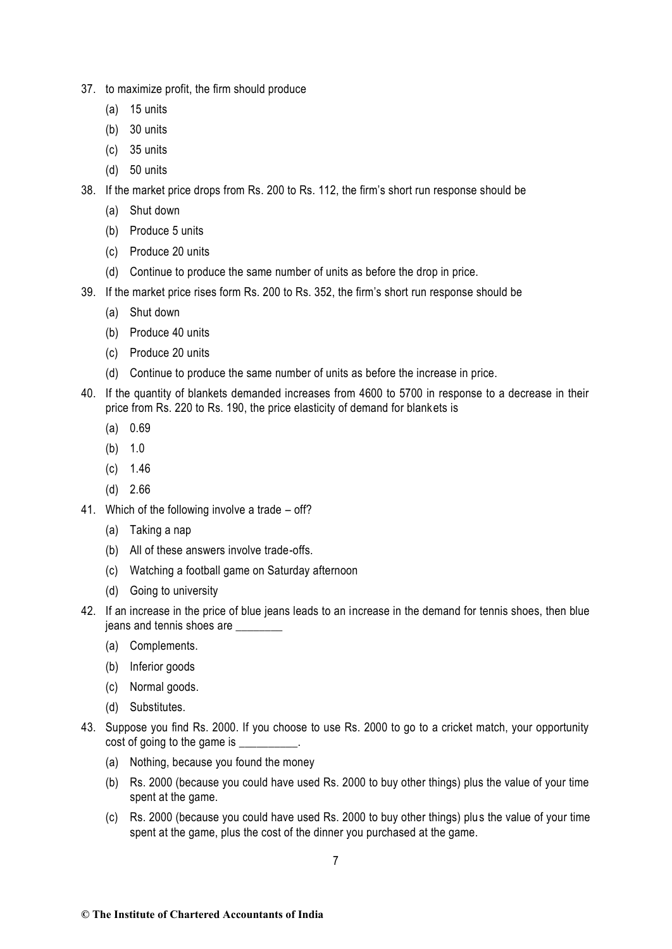- 37. to maximize profit, the firm should produce
	- (a) 15 units
	- (b) 30 units
	- (c) 35 units
	- (d) 50 units
- 38. If the market price drops from Rs. 200 to Rs. 112, the firm's short run response should be
	- (a) Shut down
	- (b) Produce 5 units
	- (c) Produce 20 units
	- (d) Continue to produce the same number of units as before the drop in price.
- 39. If the market price rises form Rs. 200 to Rs. 352, the firm's short run response should be
	- (a) Shut down
	- (b) Produce 40 units
	- (c) Produce 20 units
	- (d) Continue to produce the same number of units as before the increase in price.
- 40. If the quantity of blankets demanded increases from 4600 to 5700 in response to a decrease in their price from Rs. 220 to Rs. 190, the price elasticity of demand for blankets is
	- (a) 0.69
	- (b) 1.0
	- (c) 1.46
	- (d) 2.66
- 41. Which of the following involve a trade off?
	- (a) Taking a nap
	- (b) All of these answers involve trade-offs.
	- (c) Watching a football game on Saturday afternoon
	- (d) Going to university
- 42. If an increase in the price of blue jeans leads to an increase in the demand for tennis shoes, then blue jeans and tennis shoes are \_\_\_\_\_\_\_\_
	- (a) Complements.
	- (b) Inferior goods
	- (c) Normal goods.
	- (d) Substitutes.
- 43. Suppose you find Rs. 2000. If you choose to use Rs. 2000 to go to a cricket match, your opportunity cost of going to the game is \_\_\_\_\_\_\_\_\_\_.
	- (a) Nothing, because you found the money
	- (b) Rs. 2000 (because you could have used Rs. 2000 to buy other things) plus the value of your time spent at the game.
	- (c) Rs. 2000 (because you could have used Rs. 2000 to buy other things) plus the value of your time spent at the game, plus the cost of the dinner you purchased at the game.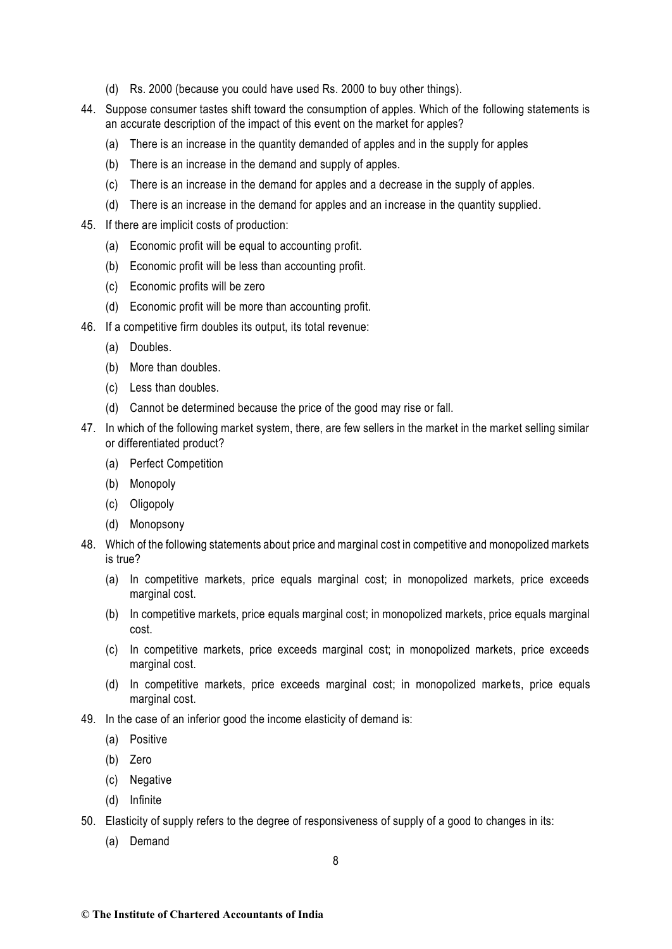- (d) Rs. 2000 (because you could have used Rs. 2000 to buy other things).
- 44. Suppose consumer tastes shift toward the consumption of apples. Which of the following statements is an accurate description of the impact of this event on the market for apples?
	- (a) There is an increase in the quantity demanded of apples and in the supply for apples
	- (b) There is an increase in the demand and supply of apples.
	- (c) There is an increase in the demand for apples and a decrease in the supply of apples.
	- (d) There is an increase in the demand for apples and an increase in the quantity supplied.
- 45. If there are implicit costs of production:
	- (a) Economic profit will be equal to accounting profit.
	- (b) Economic profit will be less than accounting profit.
	- (c) Economic profits will be zero
	- (d) Economic profit will be more than accounting profit.
- 46. If a competitive firm doubles its output, its total revenue:
	- (a) Doubles.
	- (b) More than doubles.
	- (c) Less than doubles.
	- (d) Cannot be determined because the price of the good may rise or fall.
- 47. In which of the following market system, there, are few sellers in the market in the market selling similar or differentiated product?
	- (a) Perfect Competition
	- (b) Monopoly
	- (c) Oligopoly
	- (d) Monopsony
- 48. Which of the following statements about price and marginal cost in competitive and monopolized markets is true?
	- (a) In competitive markets, price equals marginal cost; in monopolized markets, price exceeds marginal cost.
	- (b) In competitive markets, price equals marginal cost; in monopolized markets, price equals marginal cost.
	- (c) In competitive markets, price exceeds marginal cost; in monopolized markets, price exceeds marginal cost.
	- (d) In competitive markets, price exceeds marginal cost; in monopolized markets, price equals marginal cost.
- 49. In the case of an inferior good the income elasticity of demand is:
	- (a) Positive
	- (b) Zero
	- (c) Negative
	- (d) Infinite
- 50. Elasticity of supply refers to the degree of responsiveness of supply of a good to changes in its:
	- (a) Demand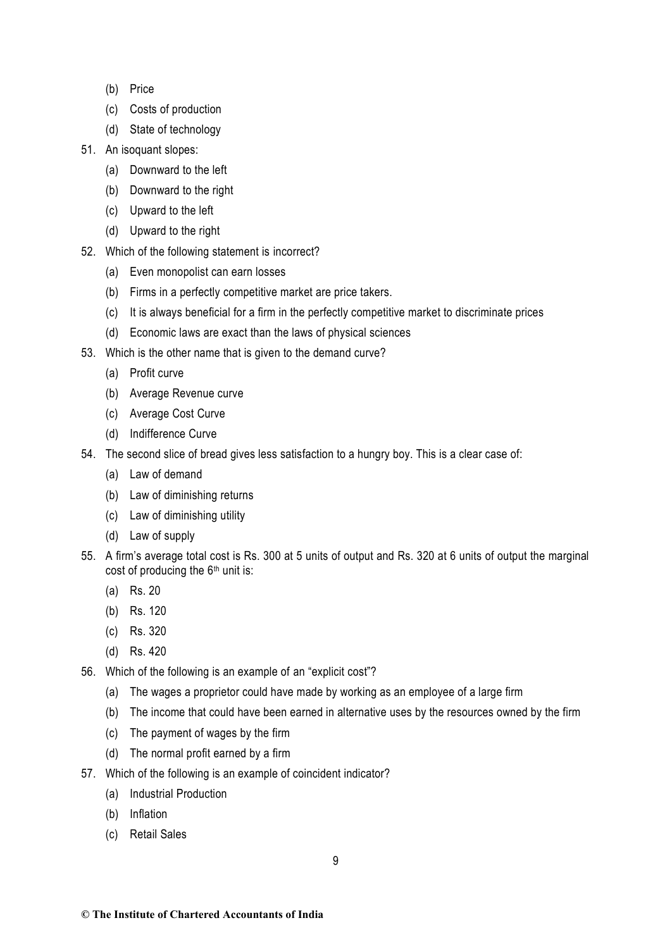- (b) Price
- (c) Costs of production
- (d) State of technology
- 51. An isoquant slopes:
	- (a) Downward to the left
	- (b) Downward to the right
	- (c) Upward to the left
	- (d) Upward to the right
- 52. Which of the following statement is incorrect?
	- (a) Even monopolist can earn losses
	- (b) Firms in a perfectly competitive market are price takers.
	- (c) It is always beneficial for a firm in the perfectly competitive market to discriminate prices
	- (d) Economic laws are exact than the laws of physical sciences
- 53. Which is the other name that is given to the demand curve?
	- (a) Profit curve
	- (b) Average Revenue curve
	- (c) Average Cost Curve
	- (d) Indifference Curve
- 54. The second slice of bread gives less satisfaction to a hungry boy. This is a clear case of:
	- (a) Law of demand
	- (b) Law of diminishing returns
	- (c) Law of diminishing utility
	- (d) Law of supply
- 55. A firm's average total cost is Rs. 300 at 5 units of output and Rs. 320 at 6 units of output the marginal cost of producing the  $6<sup>th</sup>$  unit is:
	- (a) Rs. 20
	- (b) Rs. 120
	- (c) Rs. 320
	- (d) Rs. 420
- 56. Which of the following is an example of an "explicit cost"?
	- (a) The wages a proprietor could have made by working as an employee of a large firm
	- (b) The income that could have been earned in alternative uses by the resources owned by the firm
	- (c) The payment of wages by the firm
	- (d) The normal profit earned by a firm
- 57. Which of the following is an example of coincident indicator?
	- (a) Industrial Production
	- (b) Inflation
	- (c) Retail Sales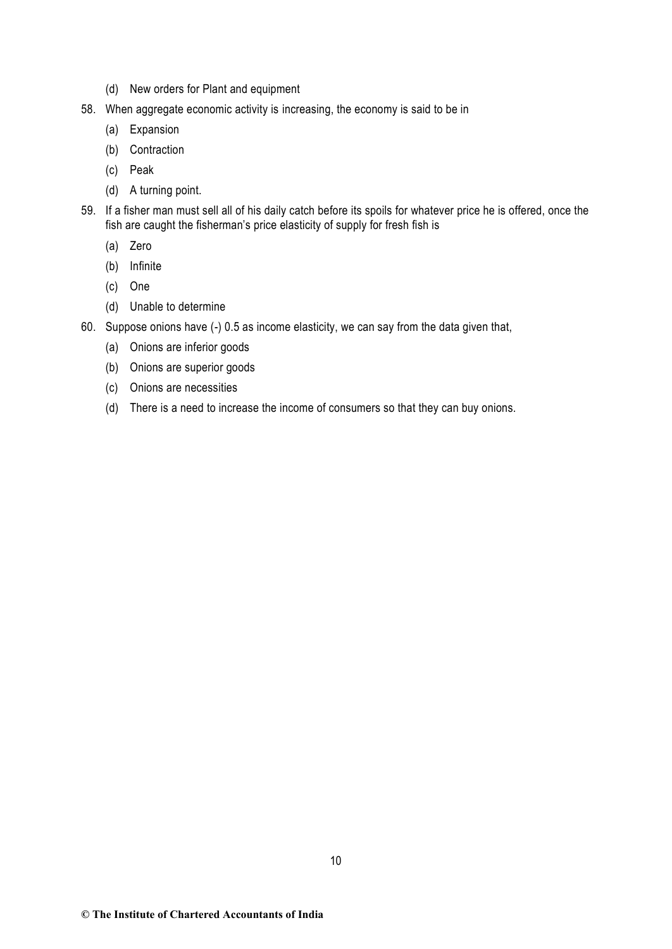- (d) New orders for Plant and equipment
- 58. When aggregate economic activity is increasing, the economy is said to be in
	- (a) Expansion
	- (b) Contraction
	- (c) Peak
	- (d) A turning point.
- 59. If a fisher man must sell all of his daily catch before its spoils for whatever price he is offered, once the fish are caught the fisherman's price elasticity of supply for fresh fish is
	- (a) Zero
	- (b) Infinite
	- (c) One
	- (d) Unable to determine
- 60. Suppose onions have (-) 0.5 as income elasticity, we can say from the data given that,
	- (a) Onions are inferior goods
	- (b) Onions are superior goods
	- (c) Onions are necessities
	- (d) There is a need to increase the income of consumers so that they can buy onions.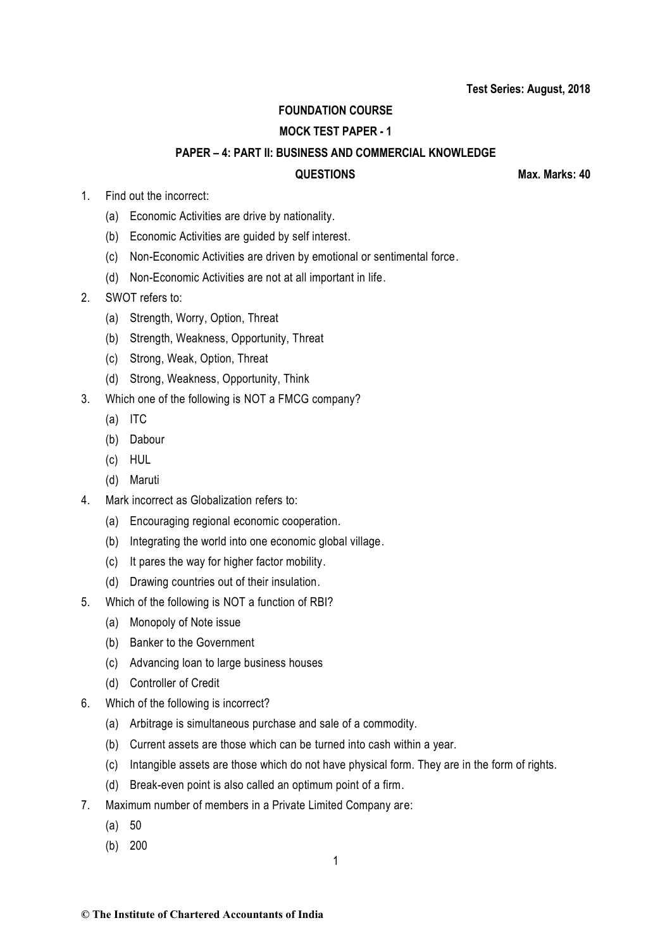# **FOUNDATION COURSE**

# **MOCK TEST PAPER - 1**

## **PAPER – 4: PART II: BUSINESS AND COMMERCIAL KNOWLEDGE**

**QUESTIONS Max. Marks: 40**

- 1. Find out the incorrect:
	- (a) Economic Activities are drive by nationality.
	- (b) Economic Activities are guided by self interest.
	- (c) Non-Economic Activities are driven by emotional or sentimental force.
	- (d) Non-Economic Activities are not at all important in life.
- 2. SWOT refers to:
	- (a) Strength, Worry, Option, Threat
	- (b) Strength, Weakness, Opportunity, Threat
	- (c) Strong, Weak, Option, Threat
	- (d) Strong, Weakness, Opportunity, Think
- 3. Which one of the following is NOT a FMCG company?
	- (a) ITC
	- (b) Dabour
	- (c) HUL
	- (d) Maruti
- 4. Mark incorrect as Globalization refers to:
	- (a) Encouraging regional economic cooperation.
	- (b) Integrating the world into one economic global village.
	- (c) It pares the way for higher factor mobility.
	- (d) Drawing countries out of their insulation.
- 5. Which of the following is NOT a function of RBI?
	- (a) Monopoly of Note issue
	- (b) Banker to the Government
	- (c) Advancing loan to large business houses
	- (d) Controller of Credit
- 6. Which of the following is incorrect?
	- (a) Arbitrage is simultaneous purchase and sale of a commodity.
	- (b) Current assets are those which can be turned into cash within a year.
	- (c) Intangible assets are those which do not have physical form. They are in the form of rights.
	- (d) Break-even point is also called an optimum point of a firm.
- 7. Maximum number of members in a Private Limited Company are:
	- (a) 50
	- (b) 200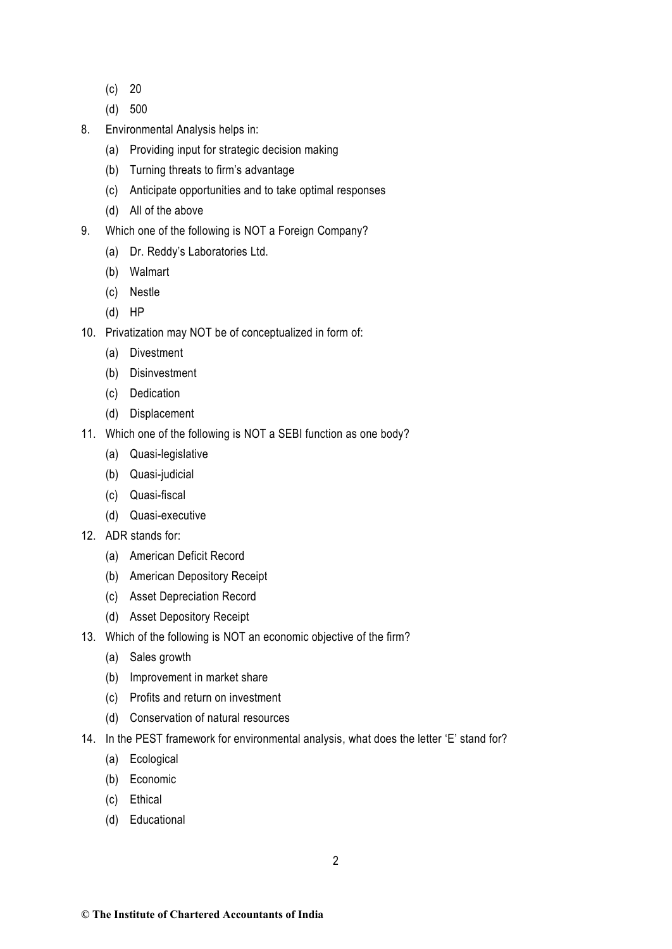- (c) 20
- (d) 500
- 8. Environmental Analysis helps in:
	- (a) Providing input for strategic decision making
	- (b) Turning threats to firm's advantage
	- (c) Anticipate opportunities and to take optimal responses
	- (d) All of the above
- 9. Which one of the following is NOT a Foreign Company?
	- (a) Dr. Reddy's Laboratories Ltd.
	- (b) Walmart
	- (c) Nestle
	- (d) HP
- 10. Privatization may NOT be of conceptualized in form of:
	- (a) Divestment
	- (b) Disinvestment
	- (c) Dedication
	- (d) Displacement
- 11. Which one of the following is NOT a SEBI function as one body?
	- (a) Quasi-legislative
	- (b) Quasi-judicial
	- (c) Quasi-fiscal
	- (d) Quasi-executive
- 12. ADR stands for:
	- (a) American Deficit Record
	- (b) American Depository Receipt
	- (c) Asset Depreciation Record
	- (d) Asset Depository Receipt
- 13. Which of the following is NOT an economic objective of the firm?
	- (a) Sales growth
	- (b) Improvement in market share
	- (c) Profits and return on investment
	- (d) Conservation of natural resources
- 14. In the PEST framework for environmental analysis, what does the letter 'E' stand for?
	- (a) Ecological
	- (b) Economic
	- (c) Ethical
	- (d) Educational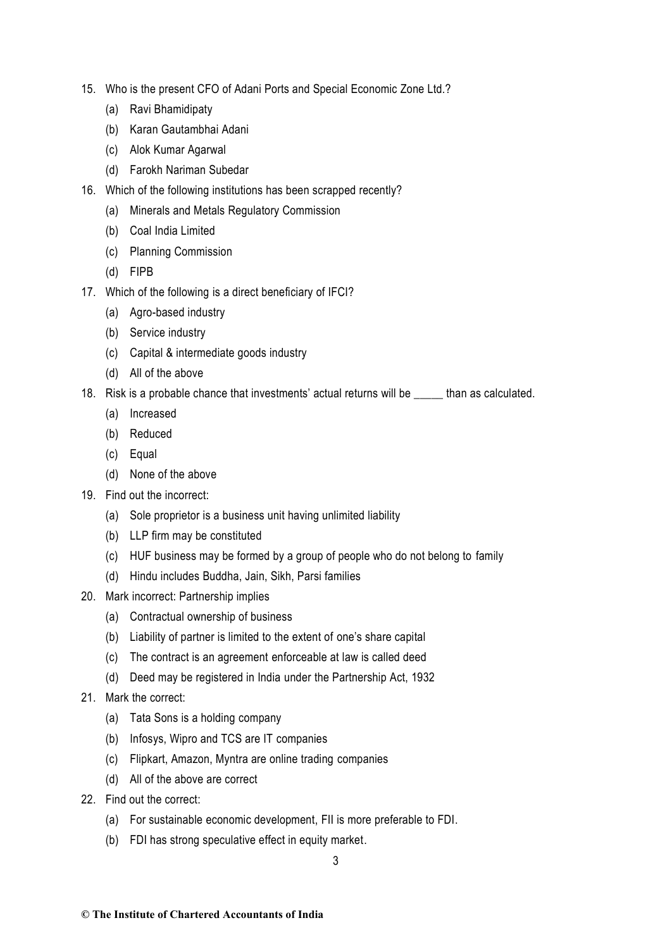- 15. Who is the present CFO of Adani Ports and Special Economic Zone Ltd.?
	- (a) Ravi Bhamidipaty
	- (b) Karan Gautambhai Adani
	- (c) Alok Kumar Agarwal
	- (d) Farokh Nariman Subedar
- 16. Which of the following institutions has been scrapped recently?
	- (a) Minerals and Metals Regulatory Commission
	- (b) Coal India Limited
	- (c) Planning Commission
	- (d) FIPB
- 17. Which of the following is a direct beneficiary of IFCI?
	- (a) Agro-based industry
	- (b) Service industry
	- (c) Capital & intermediate goods industry
	- (d) All of the above
- 18. Risk is a probable chance that investments' actual returns will be \_\_\_\_\_ than as calculated.
	- (a) Increased
	- (b) Reduced
	- (c) Equal
	- (d) None of the above
- 19. Find out the incorrect:
	- (a) Sole proprietor is a business unit having unlimited liability
	- (b) LLP firm may be constituted
	- (c) HUF business may be formed by a group of people who do not belong to family
	- (d) Hindu includes Buddha, Jain, Sikh, Parsi families
- 20. Mark incorrect: Partnership implies
	- (a) Contractual ownership of business
	- (b) Liability of partner is limited to the extent of one's share capital
	- (c) The contract is an agreement enforceable at law is called deed
	- (d) Deed may be registered in India under the Partnership Act, 1932
- 21. Mark the correct:
	- (a) Tata Sons is a holding company
	- (b) Infosys, Wipro and TCS are IT companies
	- (c) Flipkart, Amazon, Myntra are online trading companies
	- (d) All of the above are correct
- 22. Find out the correct:
	- (a) For sustainable economic development, FII is more preferable to FDI.
	- (b) FDI has strong speculative effect in equity market.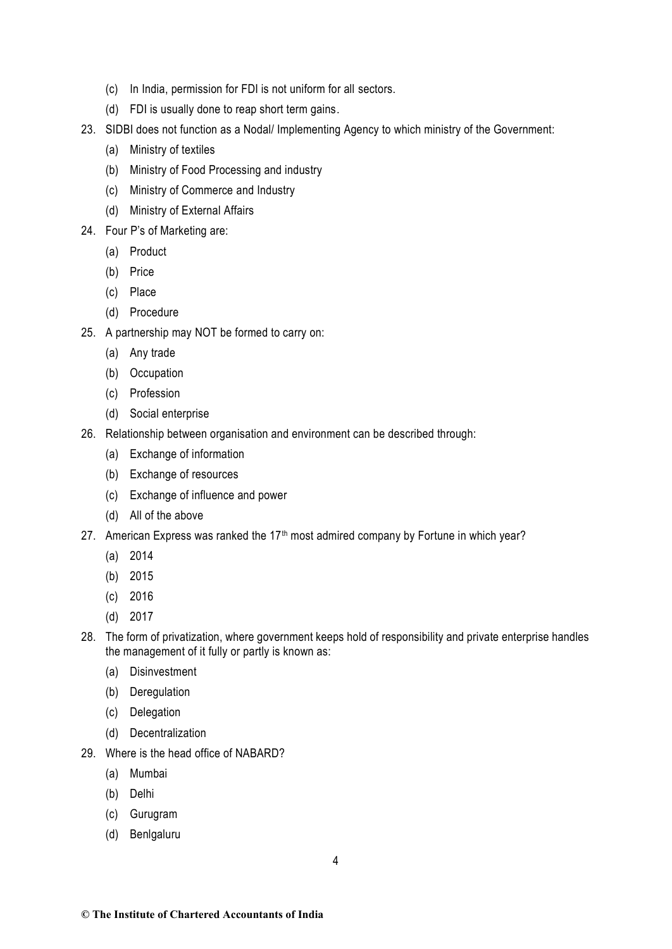- (c) In India, permission for FDI is not uniform for all sectors.
- (d) FDI is usually done to reap short term gains.
- 23. SIDBI does not function as a Nodal/ Implementing Agency to which ministry of the Government:
	- (a) Ministry of textiles
	- (b) Ministry of Food Processing and industry
	- (c) Ministry of Commerce and Industry
	- (d) Ministry of External Affairs
- 24. Four P's of Marketing are:
	- (a) Product
	- (b) Price
	- (c) Place
	- (d) Procedure
- 25. A partnership may NOT be formed to carry on:
	- (a) Any trade
	- (b) Occupation
	- (c) Profession
	- (d) Social enterprise
- 26. Relationship between organisation and environment can be described through:
	- (a) Exchange of information
	- (b) Exchange of resources
	- (c) Exchange of influence and power
	- (d) All of the above
- 27. American Express was ranked the 17<sup>th</sup> most admired company by Fortune in which year?
	- (a) 2014
	- (b) 2015
	- (c) 2016
	- (d) 2017
- 28. The form of privatization, where government keeps hold of responsibility and private enterprise handles the management of it fully or partly is known as:
	- (a) Disinvestment
	- (b) Deregulation
	- (c) Delegation
	- (d) Decentralization
- 29. Where is the head office of NABARD?
	- (a) Mumbai
	- (b) Delhi
	- (c) Gurugram
	- (d) Benlgaluru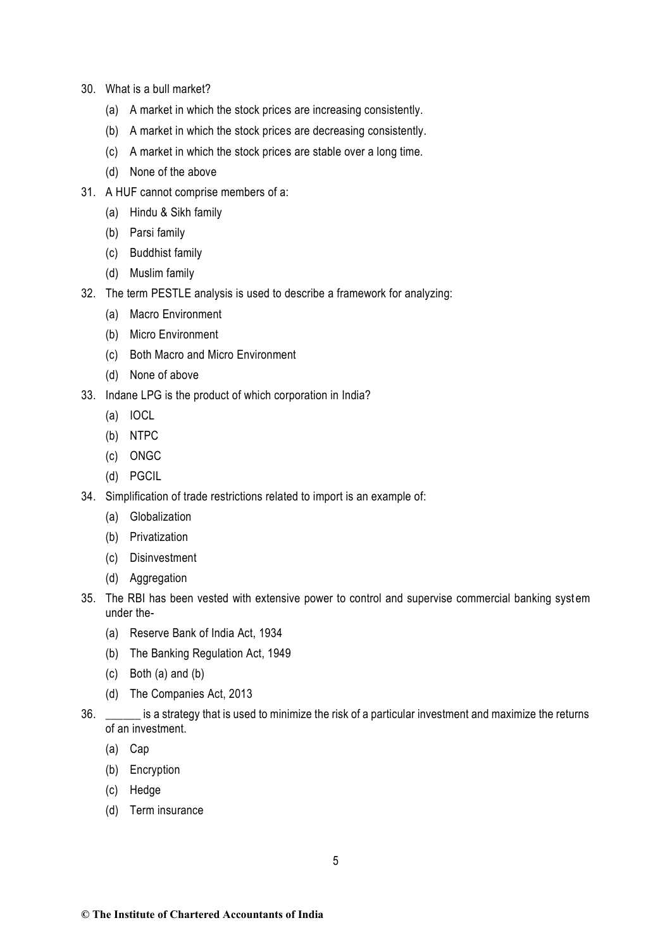- 30. What is a bull market?
	- (a) A market in which the stock prices are increasing consistently.
	- (b) A market in which the stock prices are decreasing consistently.
	- (c) A market in which the stock prices are stable over a long time.
	- (d) None of the above
- 31. A HUF cannot comprise members of a:
	- (a) Hindu & Sikh family
	- (b) Parsi family
	- (c) Buddhist family
	- (d) Muslim family
- 32. The term PESTLE analysis is used to describe a framework for analyzing:
	- (a) Macro Environment
	- (b) Micro Environment
	- (c) Both Macro and Micro Environment
	- (d) None of above
- 33. Indane LPG is the product of which corporation in India?
	- (a) IOCL
	- (b) NTPC
	- (c) ONGC
	- (d) PGCIL
- 34. Simplification of trade restrictions related to import is an example of:
	- (a) Globalization
	- (b) Privatization
	- (c) Disinvestment
	- (d) Aggregation
- 35. The RBI has been vested with extensive power to control and supervise commercial banking syst em under the-
	- (a) Reserve Bank of India Act, 1934
	- (b) The Banking Regulation Act, 1949
	- (c) Both (a) and (b)
	- (d) The Companies Act, 2013
- 36. \_\_\_\_\_\_ is a strategy that is used to minimize the risk of a particular investment and maximize the returns of an investment.
	- (a) Cap
	- (b) Encryption
	- (c) Hedge
	- (d) Term insurance